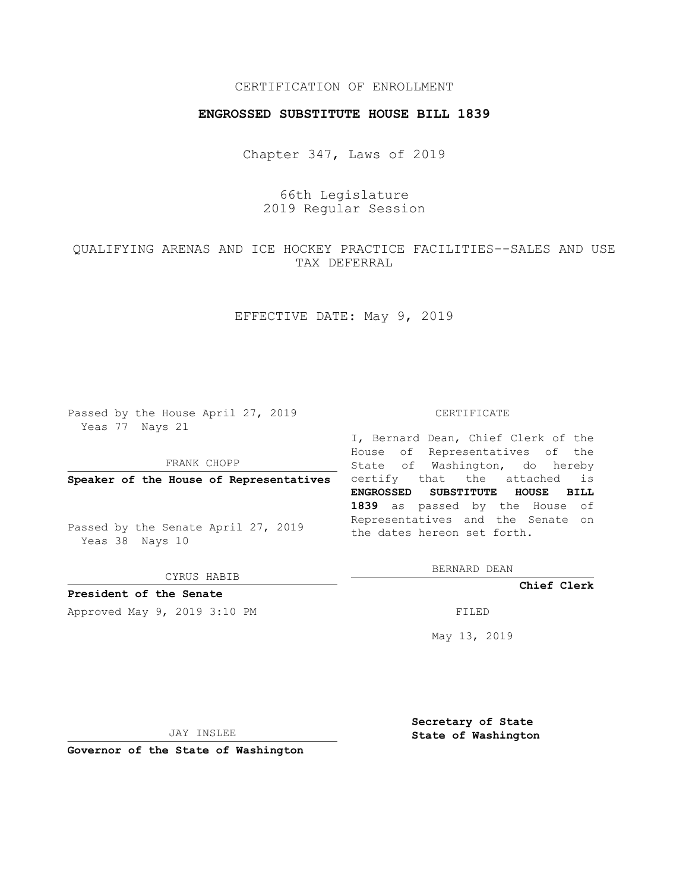### CERTIFICATION OF ENROLLMENT

#### **ENGROSSED SUBSTITUTE HOUSE BILL 1839**

Chapter 347, Laws of 2019

# 66th Legislature 2019 Regular Session

# QUALIFYING ARENAS AND ICE HOCKEY PRACTICE FACILITIES--SALES AND USE TAX DEFERRAL

## EFFECTIVE DATE: May 9, 2019

Passed by the House April 27, 2019 Yeas 77 Nays 21

FRANK CHOPP

Passed by the Senate April 27, 2019 Yeas 38 Nays 10

CYRUS HABIB

## **President of the Senate**

Approved May 9, 2019 3:10 PM

#### CERTIFICATE

**Speaker of the House of Representatives** certify that the attached is I, Bernard Dean, Chief Clerk of the House of Representatives of the State of Washington, do hereby **ENGROSSED SUBSTITUTE HOUSE BILL 1839** as passed by the House of Representatives and the Senate on the dates hereon set forth.

BERNARD DEAN

**Chief Clerk**

May 13, 2019

JAY INSLEE

**Governor of the State of Washington**

**Secretary of State State of Washington**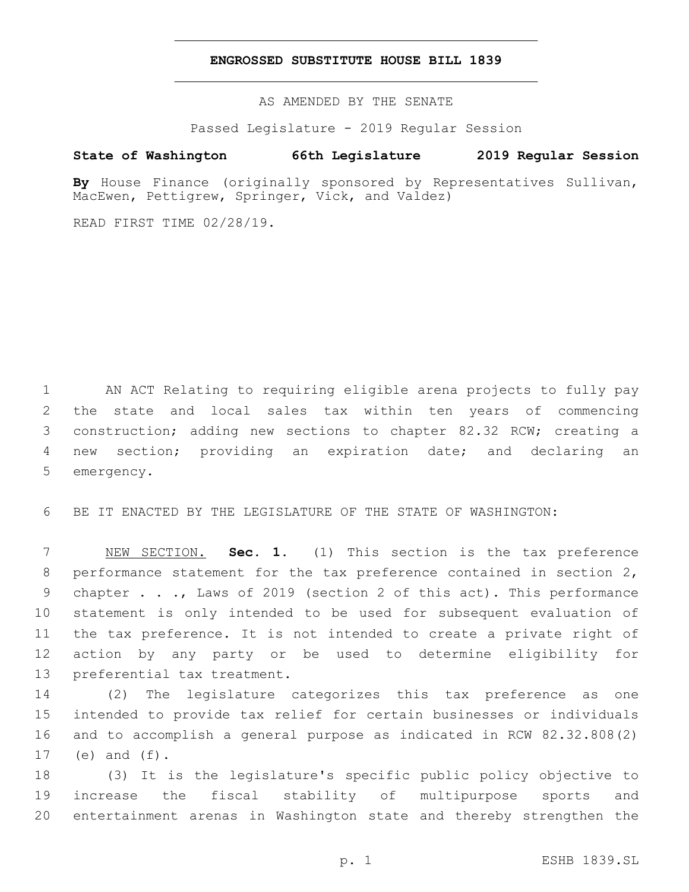#### **ENGROSSED SUBSTITUTE HOUSE BILL 1839**

AS AMENDED BY THE SENATE

Passed Legislature - 2019 Regular Session

## **State of Washington 66th Legislature 2019 Regular Session**

**By** House Finance (originally sponsored by Representatives Sullivan, MacEwen, Pettigrew, Springer, Vick, and Valdez)

READ FIRST TIME 02/28/19.

 AN ACT Relating to requiring eligible arena projects to fully pay the state and local sales tax within ten years of commencing construction; adding new sections to chapter 82.32 RCW; creating a new section; providing an expiration date; and declaring an 5 emergency.

BE IT ENACTED BY THE LEGISLATURE OF THE STATE OF WASHINGTON:

 NEW SECTION. **Sec. 1.** (1) This section is the tax preference performance statement for the tax preference contained in section 2, chapter . . ., Laws of 2019 (section 2 of this act). This performance statement is only intended to be used for subsequent evaluation of the tax preference. It is not intended to create a private right of action by any party or be used to determine eligibility for preferential tax treatment.

 (2) The legislature categorizes this tax preference as one intended to provide tax relief for certain businesses or individuals and to accomplish a general purpose as indicated in RCW 82.32.808(2) 17 (e) and  $(f)$ .

 (3) It is the legislature's specific public policy objective to increase the fiscal stability of multipurpose sports and entertainment arenas in Washington state and thereby strengthen the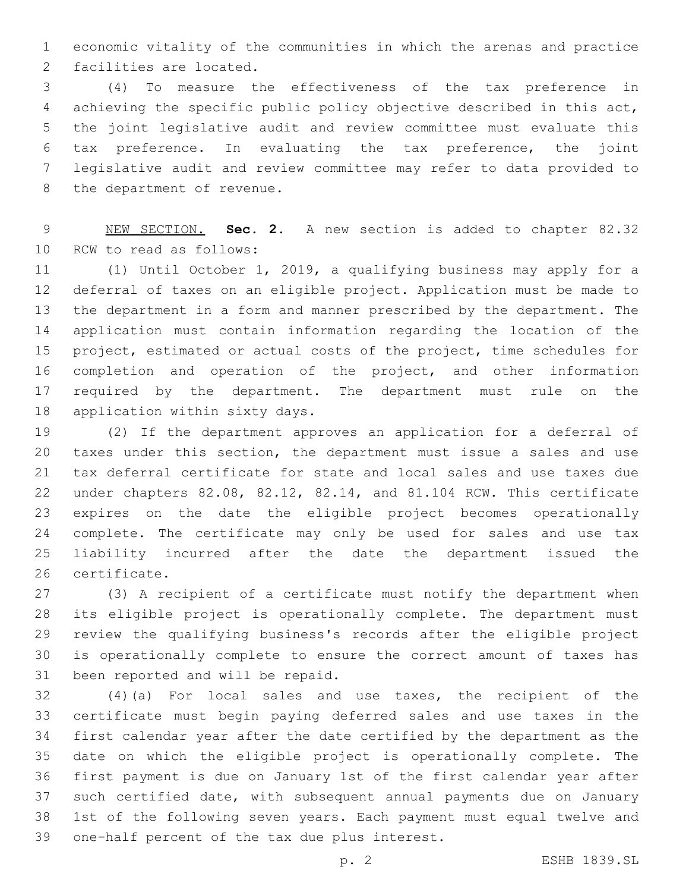economic vitality of the communities in which the arenas and practice 2 facilities are located.

 (4) To measure the effectiveness of the tax preference in achieving the specific public policy objective described in this act, the joint legislative audit and review committee must evaluate this tax preference. In evaluating the tax preference, the joint legislative audit and review committee may refer to data provided to 8 the department of revenue.

 NEW SECTION. **Sec. 2.** A new section is added to chapter 82.32 10 RCW to read as follows:

 (1) Until October 1, 2019, a qualifying business may apply for a deferral of taxes on an eligible project. Application must be made to the department in a form and manner prescribed by the department. The application must contain information regarding the location of the project, estimated or actual costs of the project, time schedules for completion and operation of the project, and other information 17 required by the department. The department must rule on the 18 application within sixty days.

 (2) If the department approves an application for a deferral of taxes under this section, the department must issue a sales and use tax deferral certificate for state and local sales and use taxes due under chapters 82.08, 82.12, 82.14, and 81.104 RCW. This certificate expires on the date the eligible project becomes operationally complete. The certificate may only be used for sales and use tax liability incurred after the date the department issued the 26 certificate.

 (3) A recipient of a certificate must notify the department when its eligible project is operationally complete. The department must review the qualifying business's records after the eligible project is operationally complete to ensure the correct amount of taxes has 31 been reported and will be repaid.

 (4)(a) For local sales and use taxes, the recipient of the certificate must begin paying deferred sales and use taxes in the first calendar year after the date certified by the department as the date on which the eligible project is operationally complete. The first payment is due on January 1st of the first calendar year after such certified date, with subsequent annual payments due on January 1st of the following seven years. Each payment must equal twelve and 39 one-half percent of the tax due plus interest.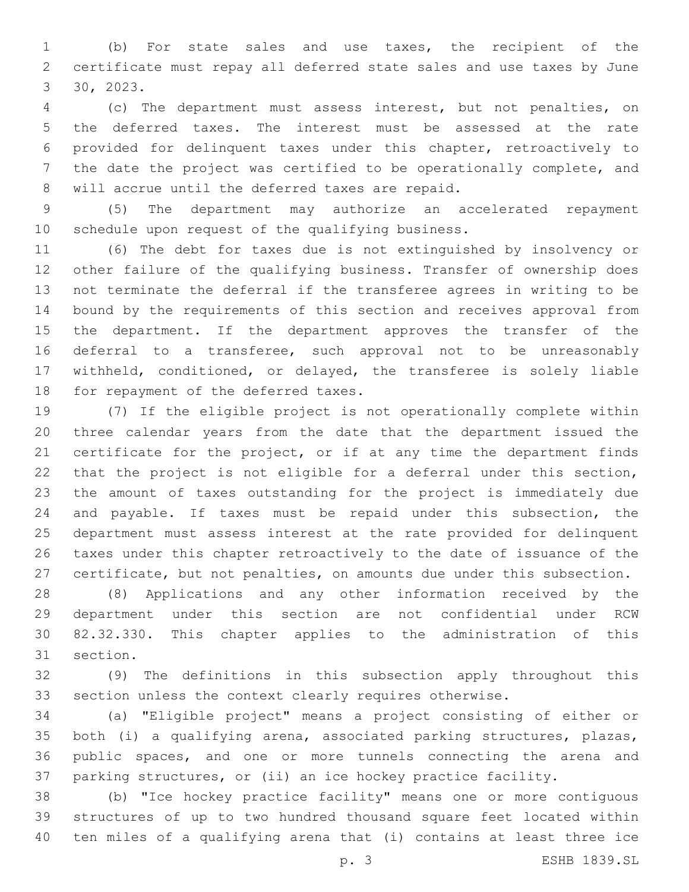(b) For state sales and use taxes, the recipient of the certificate must repay all deferred state sales and use taxes by June 30, 2023.

 (c) The department must assess interest, but not penalties, on the deferred taxes. The interest must be assessed at the rate provided for delinquent taxes under this chapter, retroactively to the date the project was certified to be operationally complete, and 8 will accrue until the deferred taxes are repaid.

 (5) The department may authorize an accelerated repayment 10 schedule upon request of the qualifying business.

 (6) The debt for taxes due is not extinguished by insolvency or other failure of the qualifying business. Transfer of ownership does not terminate the deferral if the transferee agrees in writing to be bound by the requirements of this section and receives approval from the department. If the department approves the transfer of the deferral to a transferee, such approval not to be unreasonably withheld, conditioned, or delayed, the transferee is solely liable 18 for repayment of the deferred taxes.

 (7) If the eligible project is not operationally complete within three calendar years from the date that the department issued the certificate for the project, or if at any time the department finds that the project is not eligible for a deferral under this section, the amount of taxes outstanding for the project is immediately due and payable. If taxes must be repaid under this subsection, the department must assess interest at the rate provided for delinquent taxes under this chapter retroactively to the date of issuance of the certificate, but not penalties, on amounts due under this subsection.

 (8) Applications and any other information received by the department under this section are not confidential under RCW 82.32.330. This chapter applies to the administration of this 31 section.

 (9) The definitions in this subsection apply throughout this section unless the context clearly requires otherwise.

 (a) "Eligible project" means a project consisting of either or both (i) a qualifying arena, associated parking structures, plazas, public spaces, and one or more tunnels connecting the arena and parking structures, or (ii) an ice hockey practice facility.

 (b) "Ice hockey practice facility" means one or more contiguous structures of up to two hundred thousand square feet located within ten miles of a qualifying arena that (i) contains at least three ice

p. 3 ESHB 1839.SL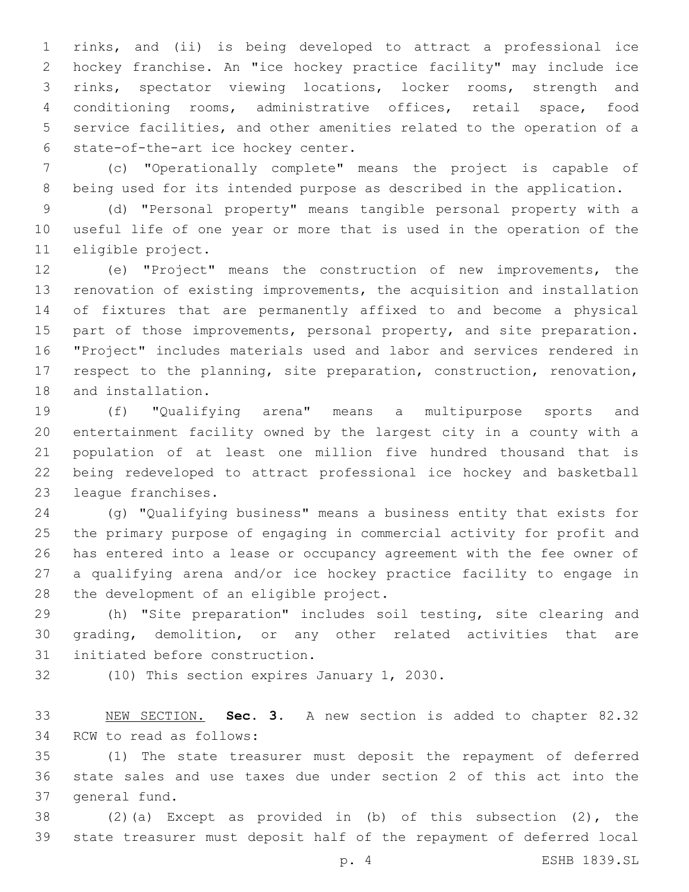rinks, and (ii) is being developed to attract a professional ice hockey franchise. An "ice hockey practice facility" may include ice rinks, spectator viewing locations, locker rooms, strength and conditioning rooms, administrative offices, retail space, food service facilities, and other amenities related to the operation of a 6 state-of-the-art ice hockey center.

 (c) "Operationally complete" means the project is capable of being used for its intended purpose as described in the application.

 (d) "Personal property" means tangible personal property with a useful life of one year or more that is used in the operation of the 11 eligible project.

 (e) "Project" means the construction of new improvements, the renovation of existing improvements, the acquisition and installation of fixtures that are permanently affixed to and become a physical part of those improvements, personal property, and site preparation. "Project" includes materials used and labor and services rendered in respect to the planning, site preparation, construction, renovation, 18 and installation.

 (f) "Qualifying arena" means a multipurpose sports and entertainment facility owned by the largest city in a county with a population of at least one million five hundred thousand that is being redeveloped to attract professional ice hockey and basketball 23 league franchises.

 (g) "Qualifying business" means a business entity that exists for the primary purpose of engaging in commercial activity for profit and has entered into a lease or occupancy agreement with the fee owner of a qualifying arena and/or ice hockey practice facility to engage in 28 the development of an eligible project.

 (h) "Site preparation" includes soil testing, site clearing and grading, demolition, or any other related activities that are 31 initiated before construction.

32 (10) This section expires January 1, 2030.

 NEW SECTION. **Sec. 3.** A new section is added to chapter 82.32 34 RCW to read as follows:

 (1) The state treasurer must deposit the repayment of deferred state sales and use taxes due under section 2 of this act into the 37 general fund.

 (2)(a) Except as provided in (b) of this subsection (2), the state treasurer must deposit half of the repayment of deferred local

p. 4 ESHB 1839.SL